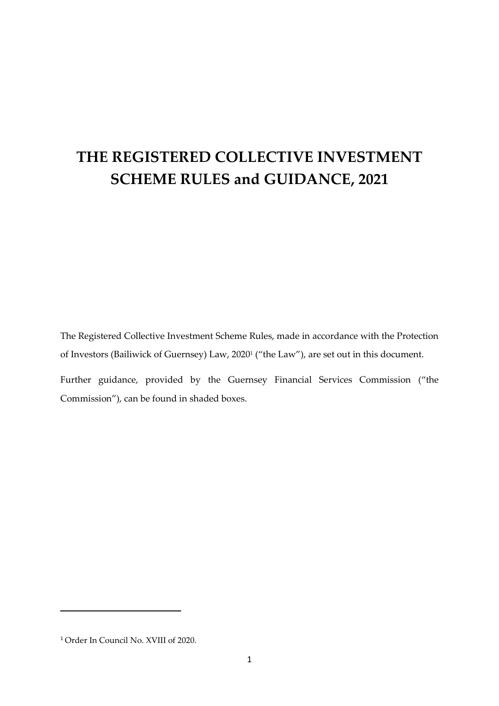# **THE REGISTERED COLLECTIVE INVESTMENT SCHEME RULES and GUIDANCE, 2021**

The Registered Collective Investment Scheme Rules, made in accordance with the Protection of Investors (Bailiwick of Guernsey) Law, 2020<sup>1</sup> ("the Law"), are set out in this document. Further guidance, provided by the Guernsey Financial Services Commission ("the

<sup>1</sup> Order In Council No. XVIII of 2020.

Commission"), can be found in shaded boxes.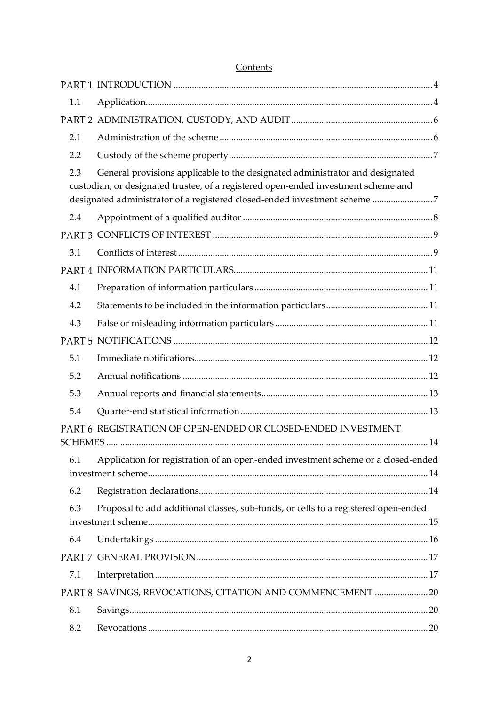| 1.1 |                                                                                                                                                                                                                                                 |
|-----|-------------------------------------------------------------------------------------------------------------------------------------------------------------------------------------------------------------------------------------------------|
|     |                                                                                                                                                                                                                                                 |
| 2.1 |                                                                                                                                                                                                                                                 |
| 2.2 |                                                                                                                                                                                                                                                 |
| 2.3 | General provisions applicable to the designated administrator and designated<br>custodian, or designated trustee, of a registered open-ended investment scheme and<br>designated administrator of a registered closed-ended investment scheme 7 |
| 2.4 |                                                                                                                                                                                                                                                 |
|     |                                                                                                                                                                                                                                                 |
| 3.1 |                                                                                                                                                                                                                                                 |
|     |                                                                                                                                                                                                                                                 |
| 4.1 |                                                                                                                                                                                                                                                 |
| 4.2 |                                                                                                                                                                                                                                                 |
| 4.3 |                                                                                                                                                                                                                                                 |
|     |                                                                                                                                                                                                                                                 |
| 5.1 |                                                                                                                                                                                                                                                 |
| 5.2 |                                                                                                                                                                                                                                                 |
| 5.3 |                                                                                                                                                                                                                                                 |
| 5.4 |                                                                                                                                                                                                                                                 |
|     | PART 6 REGISTRATION OF OPEN-ENDED OR CLOSED-ENDED INVESTMENT                                                                                                                                                                                    |
| 6.1 | Application for registration of an open-ended investment scheme or a closed-ended                                                                                                                                                               |
| 6.2 |                                                                                                                                                                                                                                                 |
| 6.3 | Proposal to add additional classes, sub-funds, or cells to a registered open-ended                                                                                                                                                              |
| 6.4 |                                                                                                                                                                                                                                                 |
|     |                                                                                                                                                                                                                                                 |
| 7.1 |                                                                                                                                                                                                                                                 |
|     | PART 8 SAVINGS, REVOCATIONS, CITATION AND COMMENCEMENT 20                                                                                                                                                                                       |
| 8.1 |                                                                                                                                                                                                                                                 |
| 8.2 |                                                                                                                                                                                                                                                 |

# Contents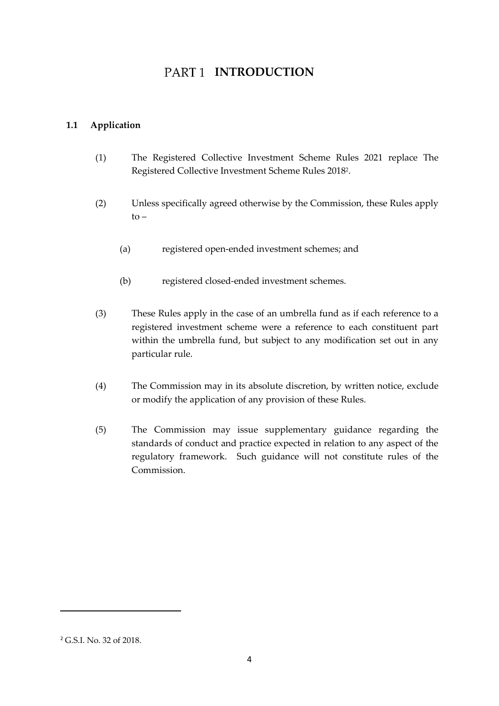# PART<sub>1</sub> INTRODUCTION

## <span id="page-3-1"></span><span id="page-3-0"></span>**1.1 Application**

- (1) The Registered Collective Investment Scheme Rules 2021 replace The Registered Collective Investment Scheme Rules 2018 2 .
- (2) Unless specifically agreed otherwise by the Commission, these Rules apply to –
	- (a) registered open-ended investment schemes; and
	- (b) registered closed-ended investment schemes.
- (3) These Rules apply in the case of an umbrella fund as if each reference to a registered investment scheme were a reference to each constituent part within the umbrella fund, but subject to any modification set out in any particular rule.
- (4) The Commission may in its absolute discretion, by written notice, exclude or modify the application of any provision of these Rules.
- (5) The Commission may issue supplementary guidance regarding the standards of conduct and practice expected in relation to any aspect of the regulatory framework. Such guidance will not constitute rules of the Commission.

<sup>2</sup> G.S.I. No. 32 of 2018.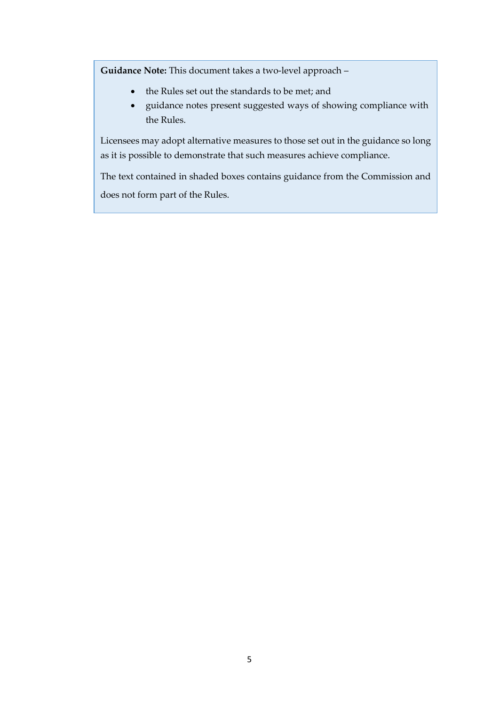**Guidance Note:** This document takes a two-level approach –

- the Rules set out the standards to be met; and
- guidance notes present suggested ways of showing compliance with the Rules.

Licensees may adopt alternative measures to those set out in the guidance so long as it is possible to demonstrate that such measures achieve compliance.

The text contained in shaded boxes contains guidance from the Commission and does not form part of the Rules.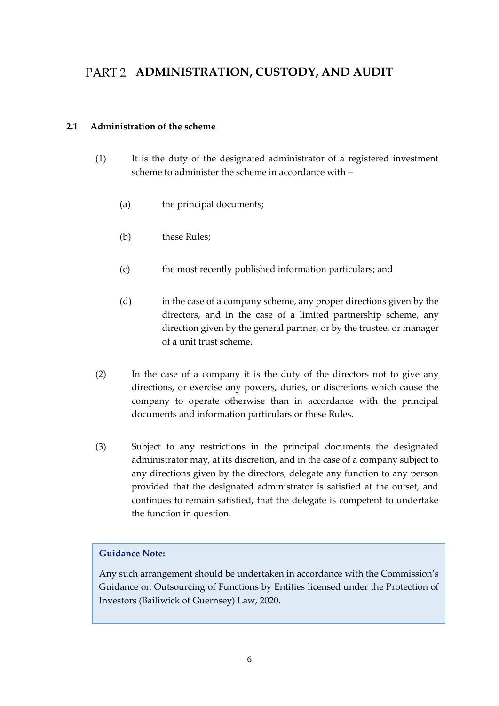# <span id="page-5-0"></span>PART 2 ADMINISTRATION, CUSTODY, AND AUDIT

#### <span id="page-5-1"></span>**2.1 Administration of the scheme**

- (1) It is the duty of the designated administrator of a registered investment scheme to administer the scheme in accordance with –
	- (a) the principal documents;
	- (b) these Rules:
	- (c) the most recently published information particulars; and
	- (d) in the case of a company scheme, any proper directions given by the directors, and in the case of a limited partnership scheme, any direction given by the general partner, or by the trustee, or manager of a unit trust scheme.
- (2) In the case of a company it is the duty of the directors not to give any directions, or exercise any powers, duties, or discretions which cause the company to operate otherwise than in accordance with the principal documents and information particulars or these Rules.
- (3) Subject to any restrictions in the principal documents the designated administrator may, at its discretion, and in the case of a company subject to any directions given by the directors, delegate any function to any person provided that the designated administrator is satisfied at the outset, and continues to remain satisfied, that the delegate is competent to undertake the function in question.

### **Guidance Note:**

Any such arrangement should be undertaken in accordance with the Commission's Guidance on Outsourcing of Functions by Entities licensed under the Protection of Investors (Bailiwick of Guernsey) Law, 2020.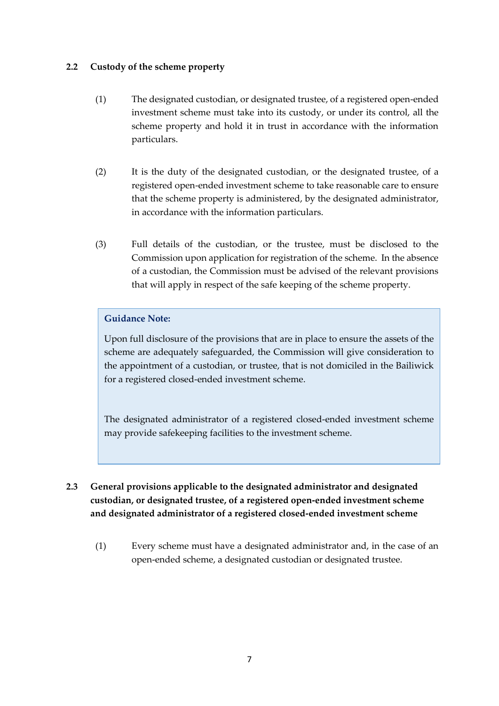#### <span id="page-6-0"></span>**2.2 Custody of the scheme property**

- (1) The designated custodian, or designated trustee, of a registered open-ended investment scheme must take into its custody, or under its control, all the scheme property and hold it in trust in accordance with the information particulars.
- (2) It is the duty of the designated custodian, or the designated trustee, of a registered open-ended investment scheme to take reasonable care to ensure that the scheme property is administered, by the designated administrator, in accordance with the information particulars.
- (3) Full details of the custodian, or the trustee, must be disclosed to the Commission upon application for registration of the scheme. In the absence of a custodian, the Commission must be advised of the relevant provisions that will apply in respect of the safe keeping of the scheme property.

### **Guidance Note:**

Upon full disclosure of the provisions that are in place to ensure the assets of the scheme are adequately safeguarded, the Commission will give consideration to the appointment of a custodian, or trustee, that is not domiciled in the Bailiwick for a registered closed-ended investment scheme.

The designated administrator of a registered closed-ended investment scheme may provide safekeeping facilities to the investment scheme.

# <span id="page-6-1"></span>**2.3 General provisions applicable to the designated administrator and designated custodian, or designated trustee, of a registered open-ended investment scheme and designated administrator of a registered closed-ended investment scheme**

(1) Every scheme must have a designated administrator and, in the case of an open-ended scheme, a designated custodian or designated trustee.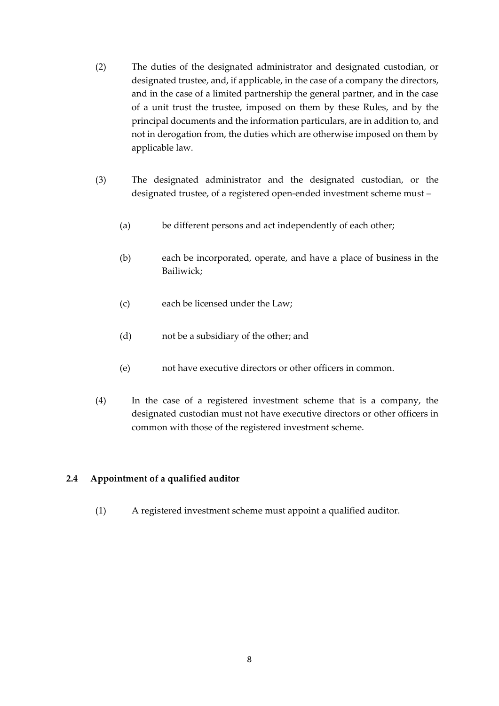- (2) The duties of the designated administrator and designated custodian, or designated trustee, and, if applicable, in the case of a company the directors, and in the case of a limited partnership the general partner, and in the case of a unit trust the trustee, imposed on them by these Rules, and by the principal documents and the information particulars, are in addition to, and not in derogation from, the duties which are otherwise imposed on them by applicable law.
- (3) The designated administrator and the designated custodian, or the designated trustee, of a registered open-ended investment scheme must –
	- (a) be different persons and act independently of each other;
	- (b) each be incorporated, operate, and have a place of business in the Bailiwick;
	- (c) each be licensed under the Law;
	- (d) not be a subsidiary of the other; and
	- (e) not have executive directors or other officers in common.
- (4) In the case of a registered investment scheme that is a company, the designated custodian must not have executive directors or other officers in common with those of the registered investment scheme.

#### <span id="page-7-0"></span>**2.4 Appointment of a qualified auditor**

(1) A registered investment scheme must appoint a qualified auditor.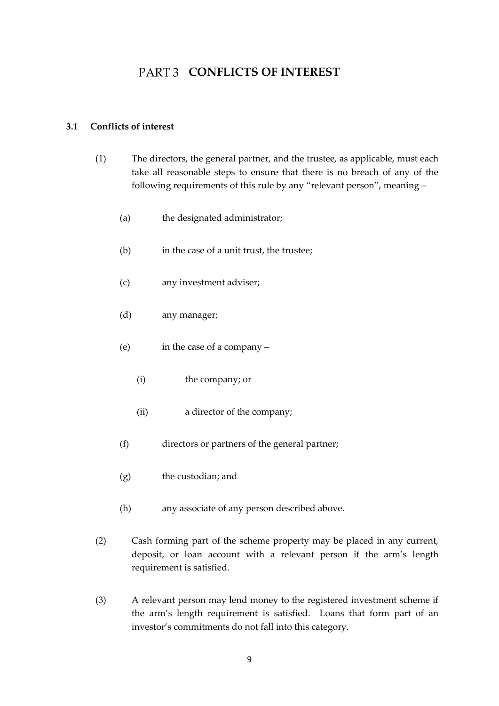# **PART 3 CONFLICTS OF INTEREST**

#### <span id="page-8-1"></span><span id="page-8-0"></span>**3.1 Conflicts of interest**

- (1) The directors, the general partner, and the trustee, as applicable, must each take all reasonable steps to ensure that there is no breach of any of the following requirements of this rule by any "relevant person", meaning –
	- (a) the designated administrator;
	- (b) in the case of a unit trust, the trustee;
	- (c) any investment adviser;
	- (d) any manager;
	- (e) in the case of a company
		- (i) the company; or
		- (ii) a director of the company;
	- (f) directors or partners of the general partner;
	- (g) the custodian; and
	- (h) any associate of any person described above.
- (2) Cash forming part of the scheme property may be placed in any current, deposit, or loan account with a relevant person if the arm's length requirement is satisfied.
- (3) A relevant person may lend money to the registered investment scheme if the arm's length requirement is satisfied. Loans that form part of an investor's commitments do not fall into this category.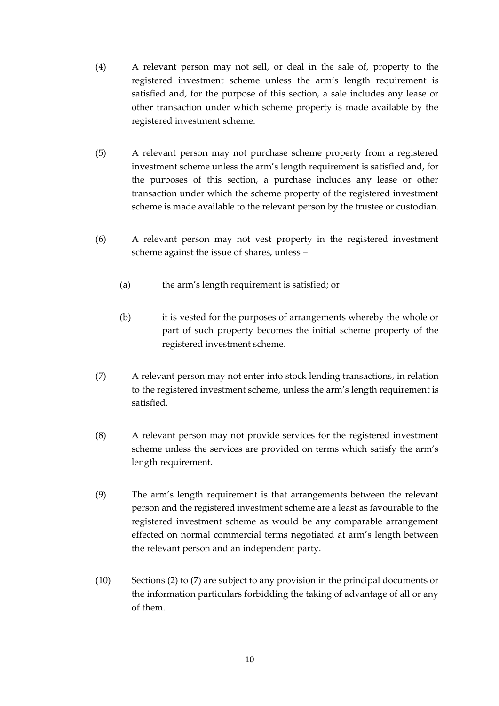- (4) A relevant person may not sell, or deal in the sale of, property to the registered investment scheme unless the arm's length requirement is satisfied and, for the purpose of this section, a sale includes any lease or other transaction under which scheme property is made available by the registered investment scheme.
- (5) A relevant person may not purchase scheme property from a registered investment scheme unless the arm's length requirement is satisfied and, for the purposes of this section, a purchase includes any lease or other transaction under which the scheme property of the registered investment scheme is made available to the relevant person by the trustee or custodian.
- (6) A relevant person may not vest property in the registered investment scheme against the issue of shares, unless –
	- (a) the arm's length requirement is satisfied; or
	- (b) it is vested for the purposes of arrangements whereby the whole or part of such property becomes the initial scheme property of the registered investment scheme.
- (7) A relevant person may not enter into stock lending transactions, in relation to the registered investment scheme, unless the arm's length requirement is satisfied.
- (8) A relevant person may not provide services for the registered investment scheme unless the services are provided on terms which satisfy the arm's length requirement.
- (9) The arm's length requirement is that arrangements between the relevant person and the registered investment scheme are a least as favourable to the registered investment scheme as would be any comparable arrangement effected on normal commercial terms negotiated at arm's length between the relevant person and an independent party.
- (10) Sections (2) to (7) are subject to any provision in the principal documents or the information particulars forbidding the taking of advantage of all or any of them.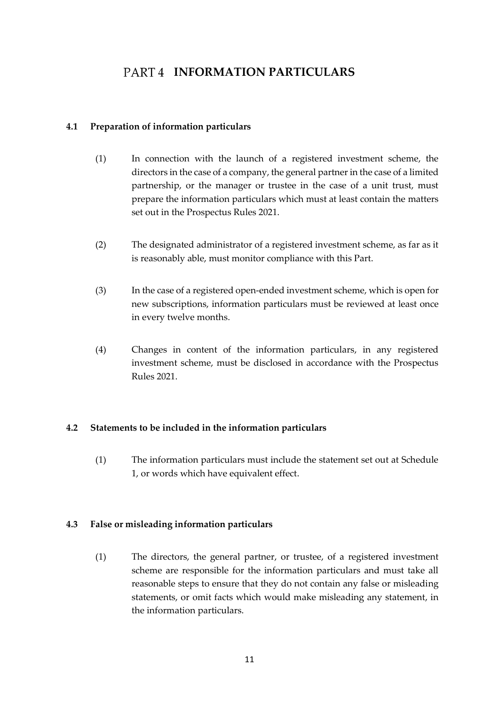# PART4 **INFORMATION PARTICULARS**

### <span id="page-10-1"></span><span id="page-10-0"></span>**4.1 Preparation of information particulars**

- (1) In connection with the launch of a registered investment scheme, the directors in the case of a company, the general partner in the case of a limited partnership, or the manager or trustee in the case of a unit trust, must prepare the information particulars which must at least contain the matters set out in the Prospectus Rules 2021.
- (2) The designated administrator of a registered investment scheme, as far as it is reasonably able, must monitor compliance with this Part.
- (3) In the case of a registered open-ended investment scheme, which is open for new subscriptions, information particulars must be reviewed at least once in every twelve months.
- (4) Changes in content of the information particulars, in any registered investment scheme, must be disclosed in accordance with the Prospectus Rules 2021.

### <span id="page-10-2"></span>**4.2 Statements to be included in the information particulars**

(1) The information particulars must include the statement set out at Schedule 1, or words which have equivalent effect.

### <span id="page-10-3"></span>**4.3 False or misleading information particulars**

(1) The directors, the general partner, or trustee, of a registered investment scheme are responsible for the information particulars and must take all reasonable steps to ensure that they do not contain any false or misleading statements, or omit facts which would make misleading any statement, in the information particulars.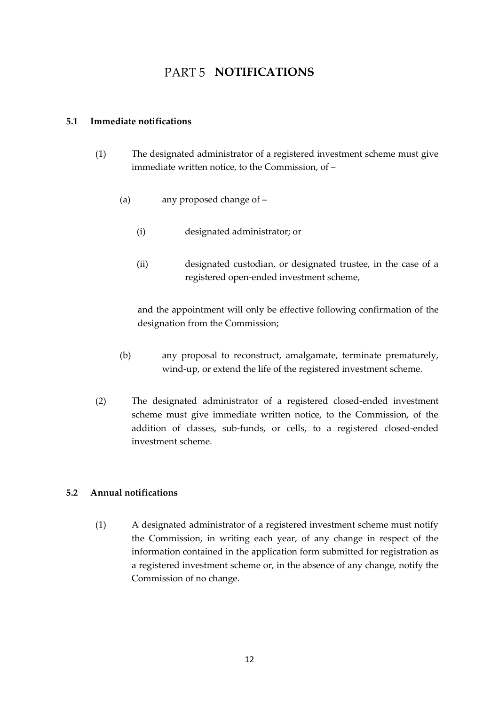# PART 5 **NOTIFICATIONS**

#### <span id="page-11-1"></span><span id="page-11-0"></span>**5.1 Immediate notifications**

- (1) The designated administrator of a registered investment scheme must give immediate written notice, to the Commission, of –
	- (a) any proposed change of
		- (i) designated administrator; or
		- (ii) designated custodian, or designated trustee, in the case of a registered open-ended investment scheme,

and the appointment will only be effective following confirmation of the designation from the Commission;

- (b) any proposal to reconstruct, amalgamate, terminate prematurely, wind-up, or extend the life of the registered investment scheme.
- (2) The designated administrator of a registered closed-ended investment scheme must give immediate written notice, to the Commission, of the addition of classes, sub-funds, or cells, to a registered closed-ended investment scheme.

### <span id="page-11-2"></span>**5.2 Annual notifications**

(1) A designated administrator of a registered investment scheme must notify the Commission, in writing each year, of any change in respect of the information contained in the application form submitted for registration as a registered investment scheme or, in the absence of any change, notify the Commission of no change.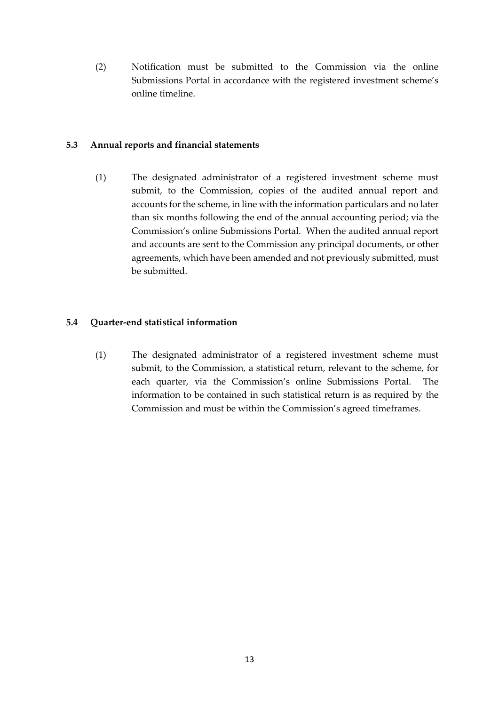(2) Notification must be submitted to the Commission via the online Submissions Portal in accordance with the registered investment scheme's online timeline.

#### <span id="page-12-0"></span>**5.3 Annual reports and financial statements**

(1) The designated administrator of a registered investment scheme must submit, to the Commission, copies of the audited annual report and accounts for the scheme, in line with the information particulars and no later than six months following the end of the annual accounting period; via the Commission's online Submissions Portal. When the audited annual report and accounts are sent to the Commission any principal documents, or other agreements, which have been amended and not previously submitted, must be submitted.

### <span id="page-12-1"></span>**5.4 Quarter-end statistical information**

(1) The designated administrator of a registered investment scheme must submit, to the Commission, a statistical return, relevant to the scheme, for each quarter, via the Commission's online Submissions Portal. The information to be contained in such statistical return is as required by the Commission and must be within the Commission's agreed timeframes.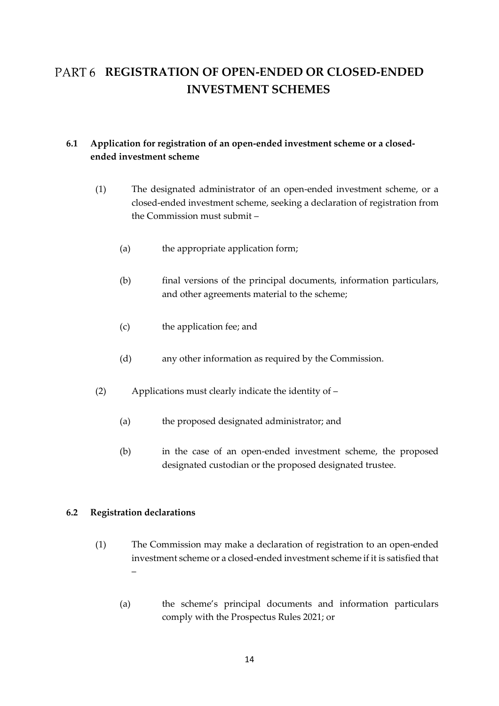# <span id="page-13-0"></span>**REGISTRATION OF OPEN-ENDED OR CLOSED-ENDED INVESTMENT SCHEMES**

# <span id="page-13-1"></span>**6.1 Application for registration of an open-ended investment scheme or a closedended investment scheme**

- (1) The designated administrator of an open-ended investment scheme, or a closed-ended investment scheme, seeking a declaration of registration from the Commission must submit –
	- (a) the appropriate application form;
	- (b) final versions of the principal documents, information particulars, and other agreements material to the scheme;
	- (c) the application fee; and
	- (d) any other information as required by the Commission.
- (2) Applications must clearly indicate the identity of
	- (a) the proposed designated administrator; and
	- (b) in the case of an open-ended investment scheme, the proposed designated custodian or the proposed designated trustee.

#### <span id="page-13-2"></span>**6.2 Registration declarations**

- (1) The Commission may make a declaration of registration to an open-ended investment scheme or a closed-ended investment scheme if it is satisfied that –
	- (a) the scheme's principal documents and information particulars comply with the Prospectus Rules 2021; or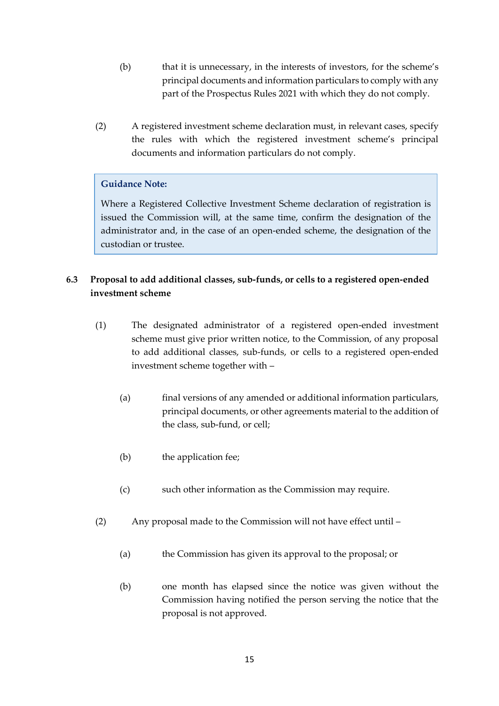- (b) that it is unnecessary, in the interests of investors, for the scheme's principal documents and information particulars to comply with any part of the Prospectus Rules 2021 with which they do not comply.
- (2) A registered investment scheme declaration must, in relevant cases, specify the rules with which the registered investment scheme's principal documents and information particulars do not comply.

### **Guidance Note:**

Where a Registered Collective Investment Scheme declaration of registration is issued the Commission will, at the same time, confirm the designation of the administrator and, in the case of an open-ended scheme, the designation of the custodian or trustee.

# <span id="page-14-0"></span>**6.3 Proposal to add additional classes, sub-funds, or cells to a registered open-ended investment scheme**

- (1) The designated administrator of a registered open-ended investment scheme must give prior written notice, to the Commission, of any proposal to add additional classes, sub-funds, or cells to a registered open-ended investment scheme together with –
	- (a) final versions of any amended or additional information particulars, principal documents, or other agreements material to the addition of the class, sub-fund, or cell;
	- (b) the application fee;
	- (c) such other information as the Commission may require.
- (2) Any proposal made to the Commission will not have effect until
	- (a) the Commission has given its approval to the proposal; or
	- (b) one month has elapsed since the notice was given without the Commission having notified the person serving the notice that the proposal is not approved.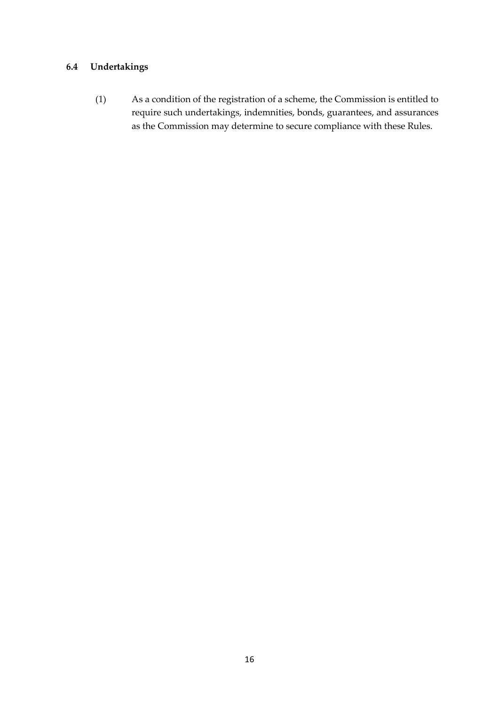## <span id="page-15-0"></span>**6.4 Undertakings**

(1) As a condition of the registration of a scheme, the Commission is entitled to require such undertakings, indemnities, bonds, guarantees, and assurances as the Commission may determine to secure compliance with these Rules.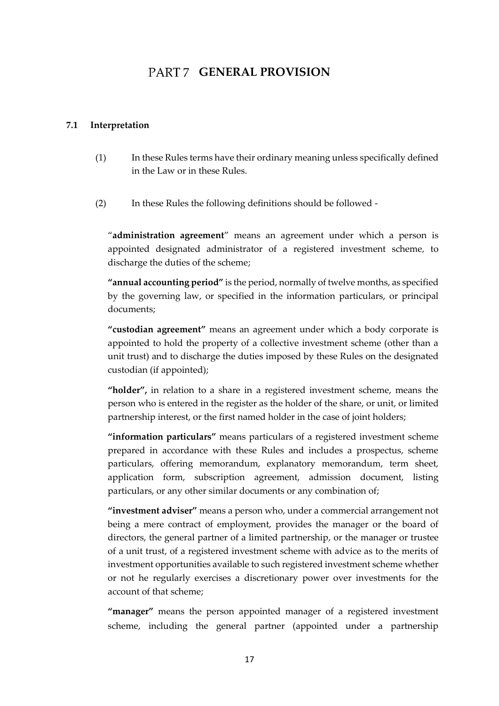# PART 7 **GENERAL PROVISION**

#### <span id="page-16-1"></span><span id="page-16-0"></span>**7.1 Interpretation**

- (1) In these Rules terms have their ordinary meaning unless specifically defined in the Law or in these Rules.
- (2) In these Rules the following definitions should be followed -

"**administration agreement**" means an agreement under which a person is appointed designated administrator of a registered investment scheme, to discharge the duties of the scheme;

**"annual accounting period"** is the period, normally of twelve months, as specified by the governing law, or specified in the information particulars, or principal documents;

**"custodian agreement"** means an agreement under which a body corporate is appointed to hold the property of a collective investment scheme (other than a unit trust) and to discharge the duties imposed by these Rules on the designated custodian (if appointed);

**"holder",** in relation to a share in a registered investment scheme, means the person who is entered in the register as the holder of the share, or unit, or limited partnership interest, or the first named holder in the case of joint holders;

**"information particulars"** means particulars of a registered investment scheme prepared in accordance with these Rules and includes a prospectus, scheme particulars, offering memorandum, explanatory memorandum, term sheet, application form, subscription agreement, admission document, listing particulars, or any other similar documents or any combination of;

**"investment adviser"** means a person who, under a commercial arrangement not being a mere contract of employment, provides the manager or the board of directors, the general partner of a limited partnership, or the manager or trustee of a unit trust, of a registered investment scheme with advice as to the merits of investment opportunities available to such registered investment scheme whether or not he regularly exercises a discretionary power over investments for the account of that scheme;

**"manager"** means the person appointed manager of a registered investment scheme, including the general partner (appointed under a partnership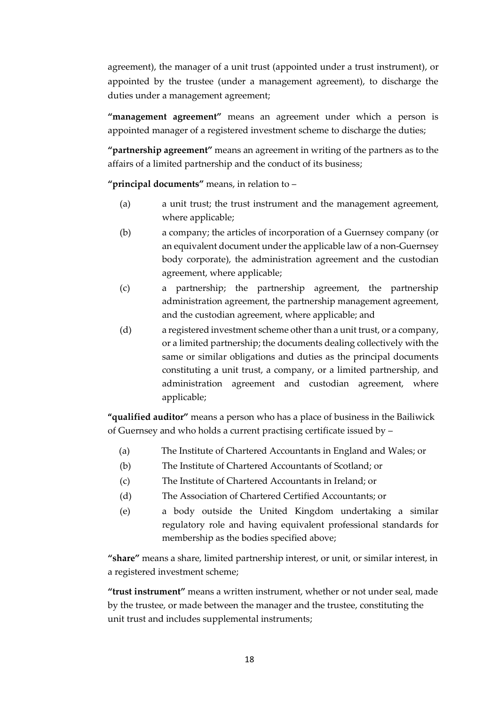agreement), the manager of a unit trust (appointed under a trust instrument), or appointed by the trustee (under a management agreement), to discharge the duties under a management agreement;

**"management agreement"** means an agreement under which a person is appointed manager of a registered investment scheme to discharge the duties;

**"partnership agreement"** means an agreement in writing of the partners as to the affairs of a limited partnership and the conduct of its business;

**"principal documents"** means, in relation to –

- (a) a unit trust; the trust instrument and the management agreement, where applicable;
- (b) a company; the articles of incorporation of a Guernsey company (or an equivalent document under the applicable law of a non-Guernsey body corporate), the administration agreement and the custodian agreement, where applicable;
- (c) a partnership; the partnership agreement, the partnership administration agreement, the partnership management agreement, and the custodian agreement, where applicable; and
- (d) a registered investment scheme other than a unit trust, or a company, or a limited partnership; the documents dealing collectively with the same or similar obligations and duties as the principal documents constituting a unit trust, a company, or a limited partnership, and administration agreement and custodian agreement, where applicable;

**"qualified auditor"** means a person who has a place of business in the Bailiwick of Guernsey and who holds a current practising certificate issued by –

- (a) The Institute of Chartered Accountants in England and Wales; or
- (b) The Institute of Chartered Accountants of Scotland; or
- (c) The Institute of Chartered Accountants in Ireland; or
- (d) The Association of Chartered Certified Accountants; or
- (e) a body outside the United Kingdom undertaking a similar regulatory role and having equivalent professional standards for membership as the bodies specified above;

**"share"** means a share, limited partnership interest, or unit, or similar interest, in a registered investment scheme;

**"trust instrument"** means a written instrument, whether or not under seal, made by the trustee, or made between the manager and the trustee, constituting the unit trust and includes supplemental instruments;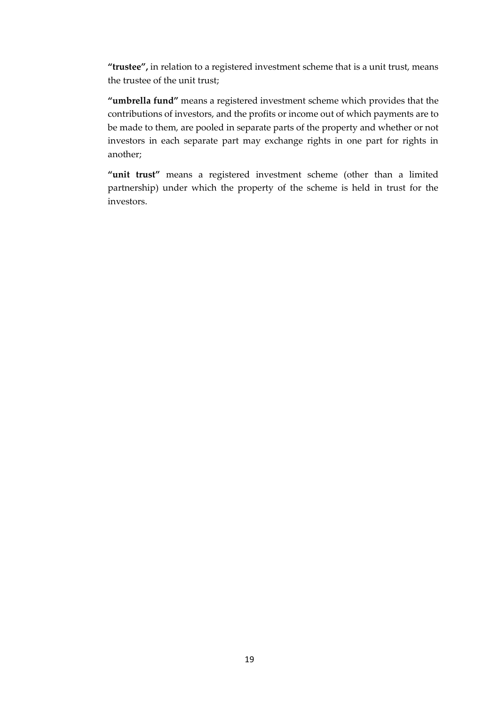**"trustee",** in relation to a registered investment scheme that is a unit trust, means the trustee of the unit trust;

**"umbrella fund"** means a registered investment scheme which provides that the contributions of investors, and the profits or income out of which payments are to be made to them, are pooled in separate parts of the property and whether or not investors in each separate part may exchange rights in one part for rights in another;

"unit trust" means a registered investment scheme (other than a limited partnership) under which the property of the scheme is held in trust for the investors.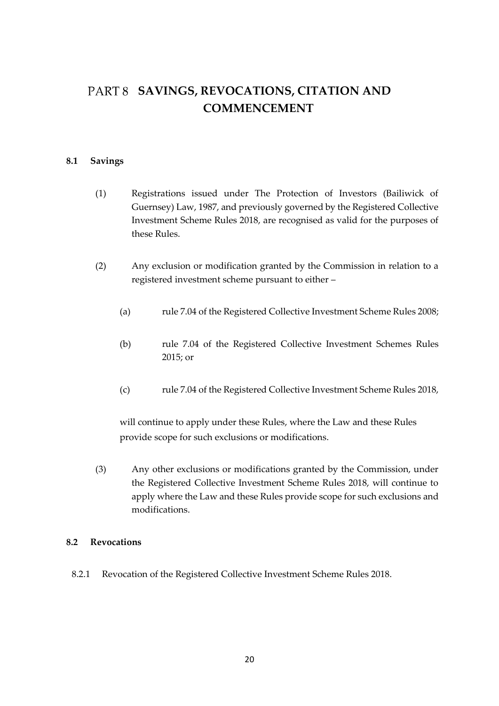# <span id="page-19-0"></span>PART 8 SAVINGS, REVOCATIONS, CITATION AND **COMMENCEMENT**

#### <span id="page-19-1"></span>**8.1 Savings**

- (1) Registrations issued under The Protection of Investors (Bailiwick of Guernsey) Law, 1987, and previously governed by the Registered Collective Investment Scheme Rules 2018, are recognised as valid for the purposes of these Rules.
- (2) Any exclusion or modification granted by the Commission in relation to a registered investment scheme pursuant to either –
	- (a) rule 7.04 of the Registered Collective Investment Scheme Rules 2008;
	- (b) rule 7.04 of the Registered Collective Investment Schemes Rules 2015; or
	- (c) rule 7.04 of the Registered Collective Investment Scheme Rules 2018,

will continue to apply under these Rules, where the Law and these Rules provide scope for such exclusions or modifications.

(3) Any other exclusions or modifications granted by the Commission, under the Registered Collective Investment Scheme Rules 2018, will continue to apply where the Law and these Rules provide scope for such exclusions and modifications.

#### <span id="page-19-2"></span>**8.2 Revocations**

8.2.1 Revocation of the Registered Collective Investment Scheme Rules 2018.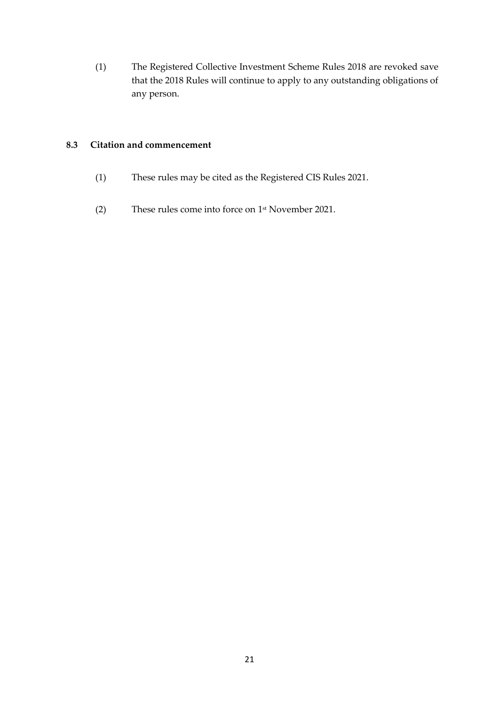(1) The Registered Collective Investment Scheme Rules 2018 are revoked save that the 2018 Rules will continue to apply to any outstanding obligations of any person.

### <span id="page-20-0"></span>**8.3 Citation and commencement**

- (1) These rules may be cited as the Registered CIS Rules 2021.
- (2) These rules come into force on 1 st November 2021.